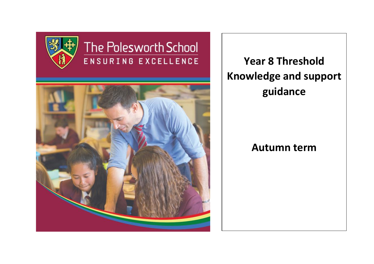

# The Polesworth School ENSURING EXCELLENCE



**Year 8 Threshold Knowledge and support guidance**

# **Autumn term**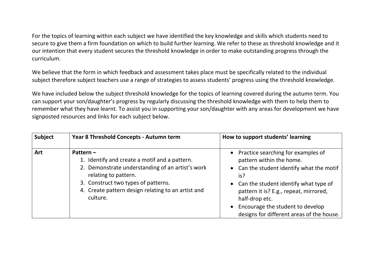For the topics of learning within each subject we have identified the key knowledge and skills which students need to secure to give them a firm foundation on which to build further learning. We refer to these as threshold knowledge and it our intention that every student secures the threshold knowledge in order to make outstanding progress through the curriculum.

We believe that the form in which feedback and assessment takes place must be specifically related to the individual subject therefore subject teachers use a range of strategies to assess students' progress using the threshold knowledge.

We have included below the subject threshold knowledge for the topics of learning covered during the autumn term. You can support your son/daughter's progress by regularly discussing the threshold knowledge with them to help them to remember what they have learnt. To assist you in supporting your son/daughter with any areas for development we have signposted resources and links for each subject below.

| <b>Subject</b> | Year 8 Threshold Concepts - Autumn term                                                                                                                                                                                                           | How to support students' learning                                                                                                                                                                                                                                                                            |
|----------------|---------------------------------------------------------------------------------------------------------------------------------------------------------------------------------------------------------------------------------------------------|--------------------------------------------------------------------------------------------------------------------------------------------------------------------------------------------------------------------------------------------------------------------------------------------------------------|
| <b>Art</b>     | Pattern $-$<br>1. Identify and create a motif and a pattern.<br>2. Demonstrate understanding of an artist's work<br>relating to pattern.<br>3. Construct two types of patterns.<br>4. Create pattern design relating to an artist and<br>culture. | • Practice searching for examples of<br>pattern within the home.<br>• Can the student identify what the motif<br>is?<br>• Can the student identify what type of<br>pattern it is? E.g., repeat, mirrored,<br>half-drop etc.<br>Encourage the student to develop<br>designs for different areas of the house. |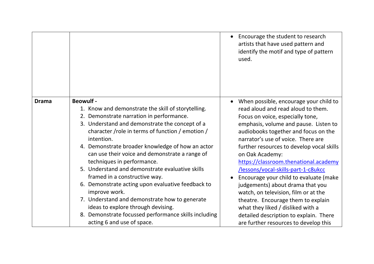|              |                                                                                                                                                                                                                                                                                                                                                                                                                                                                                                                                                                                                                                                                                                                   | • Encourage the student to research<br>artists that have used pattern and<br>identify the motif and type of pattern<br>used.                                                                                                                                                                                                                                                                                                                                                                                                                                                                                                                                                |
|--------------|-------------------------------------------------------------------------------------------------------------------------------------------------------------------------------------------------------------------------------------------------------------------------------------------------------------------------------------------------------------------------------------------------------------------------------------------------------------------------------------------------------------------------------------------------------------------------------------------------------------------------------------------------------------------------------------------------------------------|-----------------------------------------------------------------------------------------------------------------------------------------------------------------------------------------------------------------------------------------------------------------------------------------------------------------------------------------------------------------------------------------------------------------------------------------------------------------------------------------------------------------------------------------------------------------------------------------------------------------------------------------------------------------------------|
| <b>Drama</b> | <b>Beowulf -</b><br>1. Know and demonstrate the skill of storytelling.<br>2. Demonstrate narration in performance.<br>3. Understand and demonstrate the concept of a<br>character /role in terms of function / emotion /<br>intention.<br>4. Demonstrate broader knowledge of how an actor<br>can use their voice and demonstrate a range of<br>techniques in performance.<br>5. Understand and demonstrate evaluative skills<br>framed in a constructive way.<br>6. Demonstrate acting upon evaluative feedback to<br>improve work.<br>7. Understand and demonstrate how to generate<br>ideas to explore through devising.<br>8. Demonstrate focussed performance skills including<br>acting 6 and use of space. | When possible, encourage your child to<br>read aloud and read aloud to them.<br>Focus on voice, especially tone,<br>emphasis, volume and pause. Listen to<br>audiobooks together and focus on the<br>narrator's use of voice. There are<br>further resources to develop vocal skills<br>on Oak Academy:<br>https://classroom.thenational.academy<br>/lessons/vocal-skills-part-1-c8ukcc<br>Encourage your child to evaluate (make<br>judgements) about drama that you<br>watch, on television, film or at the<br>theatre. Encourage them to explain<br>what they liked / disliked with a<br>detailed description to explain. There<br>are further resources to develop this |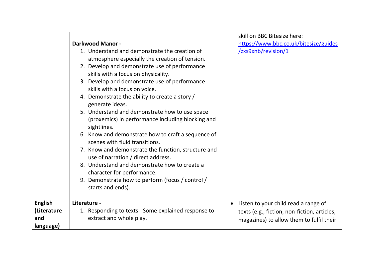|                |                                                     | skill on BBC Bitesize here:                  |
|----------------|-----------------------------------------------------|----------------------------------------------|
|                | <b>Darkwood Manor -</b>                             | https://www.bbc.co.uk/bitesize/guides        |
|                | 1. Understand and demonstrate the creation of       | /zxs9xnb/revision/1                          |
|                | atmosphere especially the creation of tension.      |                                              |
|                | 2. Develop and demonstrate use of performance       |                                              |
|                | skills with a focus on physicality.                 |                                              |
|                | 3. Develop and demonstrate use of performance       |                                              |
|                | skills with a focus on voice.                       |                                              |
|                | 4. Demonstrate the ability to create a story /      |                                              |
|                | generate ideas.                                     |                                              |
|                | 5. Understand and demonstrate how to use space      |                                              |
|                | (proxemics) in performance including blocking and   |                                              |
|                | sightlines.                                         |                                              |
|                | 6. Know and demonstrate how to craft a sequence of  |                                              |
|                | scenes with fluid transitions.                      |                                              |
|                | 7. Know and demonstrate the function, structure and |                                              |
|                | use of narration / direct address.                  |                                              |
|                | 8. Understand and demonstrate how to create a       |                                              |
|                | character for performance.                          |                                              |
|                | 9. Demonstrate how to perform (focus / control /    |                                              |
|                | starts and ends).                                   |                                              |
| <b>English</b> | Literature -                                        | $\bullet$                                    |
| (Literature    | 1. Responding to texts - Some explained response to | Listen to your child read a range of         |
| and            | extract and whole play.                             | texts (e.g., fiction, non-fiction, articles, |
| language)      |                                                     | magazines) to allow them to fulfil their     |
|                |                                                     |                                              |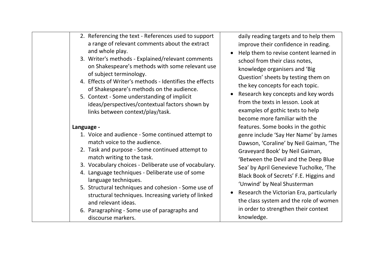| 2. Referencing the text - References used to support<br>a range of relevant comments about the extract<br>improve their confidence in reading.<br>and whole play.<br>3. Writer's methods - Explained/relevant comments<br>school from their class notes,<br>on Shakespeare's methods with some relevant use<br>knowledge organisers and 'Big<br>of subject terminology.<br>Question' sheets by testing them on<br>4. Effects of Writer's methods - Identifies the effects<br>the key concepts for each topic.<br>of Shakespeare's methods on the audience.<br>5. Context - Some understanding of implicit<br>from the texts in lesson. Look at<br>ideas/perspectives/contextual factors shown by<br>examples of gothic texts to help<br>links between context/play/task.<br>become more familiar with the<br>features. Some books in the gothic<br>Language -<br>1. Voice and audience - Some continued attempt to<br>match voice to the audience.<br>2. Task and purpose - Some continued attempt to<br>Graveyard Book' by Neil Gaiman,<br>match writing to the task.<br>3. Vocabulary choices - Deliberate use of vocabulary.<br>4. Language techniques - Deliberate use of some<br>language techniques.<br>'Unwind' by Neal Shusterman<br>5. Structural techniques and cohesion - Some use of<br>structural techniques. Increasing variety of linked<br>and relevant ideas. |  |                                                                                                                                                                                                                                                                                                                                             |
|--------------------------------------------------------------------------------------------------------------------------------------------------------------------------------------------------------------------------------------------------------------------------------------------------------------------------------------------------------------------------------------------------------------------------------------------------------------------------------------------------------------------------------------------------------------------------------------------------------------------------------------------------------------------------------------------------------------------------------------------------------------------------------------------------------------------------------------------------------------------------------------------------------------------------------------------------------------------------------------------------------------------------------------------------------------------------------------------------------------------------------------------------------------------------------------------------------------------------------------------------------------------------------------------------------------------------------------------------------------------------------|--|---------------------------------------------------------------------------------------------------------------------------------------------------------------------------------------------------------------------------------------------------------------------------------------------------------------------------------------------|
|                                                                                                                                                                                                                                                                                                                                                                                                                                                                                                                                                                                                                                                                                                                                                                                                                                                                                                                                                                                                                                                                                                                                                                                                                                                                                                                                                                                |  | daily reading targets and to help them<br>Help them to revise content learned in<br>Research key concepts and key words                                                                                                                                                                                                                     |
| 6. Paragraphing - Some use of paragraphs and<br>knowledge.<br>discourse markers.                                                                                                                                                                                                                                                                                                                                                                                                                                                                                                                                                                                                                                                                                                                                                                                                                                                                                                                                                                                                                                                                                                                                                                                                                                                                                               |  | genre include 'Say Her Name' by James<br>Dawson, 'Coraline' by Neil Gaiman, 'The<br>'Between the Devil and the Deep Blue<br>Sea' by April Genevieve Tucholke, 'The<br>Black Book of Secrets' F.E. Higgins and<br>Research the Victorian Era, particularly<br>the class system and the role of women<br>in order to strengthen their context |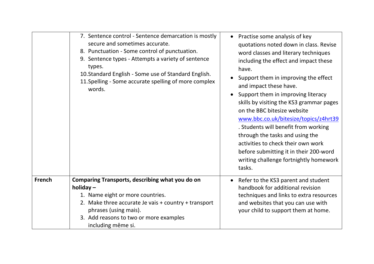|               | 7. Sentence control - Sentence demarcation is mostly<br>secure and sometimes accurate.<br>8. Punctuation - Some control of punctuation.<br>9. Sentence types - Attempts a variety of sentence<br>types.<br>10. Standard English - Some use of Standard English.<br>11. Spelling - Some accurate spelling of more complex<br>words. | Practise some analysis of key<br>quotations noted down in class. Revise<br>word classes and literary techniques<br>including the effect and impact these<br>have.<br>Support them in improving the effect<br>and impact these have.<br>Support them in improving literacy<br>skills by visiting the KS3 grammar pages<br>on the BBC bitesize website<br>www.bbc.co.uk/bitesize/topics/z4hrt39<br>. Students will benefit from working<br>through the tasks and using the<br>activities to check their own work<br>before submitting it in their 200-word<br>writing challenge fortnightly homework<br>tasks. |
|---------------|------------------------------------------------------------------------------------------------------------------------------------------------------------------------------------------------------------------------------------------------------------------------------------------------------------------------------------|--------------------------------------------------------------------------------------------------------------------------------------------------------------------------------------------------------------------------------------------------------------------------------------------------------------------------------------------------------------------------------------------------------------------------------------------------------------------------------------------------------------------------------------------------------------------------------------------------------------|
| <b>French</b> | Comparing Transports, describing what you do on<br>holiday $-$<br>1. Name eight or more countries.<br>2. Make three accurate Je vais + country + transport<br>phrases (using mais).<br>3. Add reasons to two or more examples<br>including même si.                                                                                | Refer to the KS3 parent and student<br>handbook for additional revision<br>techniques and links to extra resources<br>and websites that you can use with<br>your child to support them at home.                                                                                                                                                                                                                                                                                                                                                                                                              |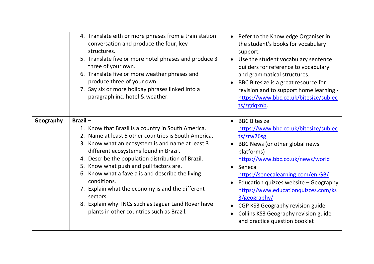|           | 4. Translate eith or more phrases from a train station<br>conversation and produce the four, key<br>structures.<br>5. Translate five or more hotel phrases and produce 3<br>three of your own.<br>6. Translate five or more weather phrases and<br>produce three of your own.<br>7. Say six or more holiday phrases linked into a<br>paragraph inc. hotel & weather.                                                                                                                                                                                      | • Refer to the Knowledge Organiser in<br>the student's books for vocabulary<br>support.<br>Use the student vocabulary sentence<br>builders for reference to vocabulary<br>and grammatical structures.<br>BBC Bitesize is a great resource for<br>revision and to support home learning -<br>https://www.bbc.co.uk/bitesize/subjec<br>ts/zgdqxnb                                                                            |
|-----------|-----------------------------------------------------------------------------------------------------------------------------------------------------------------------------------------------------------------------------------------------------------------------------------------------------------------------------------------------------------------------------------------------------------------------------------------------------------------------------------------------------------------------------------------------------------|----------------------------------------------------------------------------------------------------------------------------------------------------------------------------------------------------------------------------------------------------------------------------------------------------------------------------------------------------------------------------------------------------------------------------|
| Geography | Brazil-<br>1. Know that Brazil is a country in South America.<br>2. Name at least 5 other countries is South America.<br>3. Know what an ecosystem is and name at least 3<br>different ecosystems found in Brazil.<br>4. Describe the population distribution of Brazil.<br>5. Know what push and pull factors are.<br>6. Know what a favela is and describe the living<br>conditions.<br>7. Explain what the economy is and the different<br>sectors.<br>8. Explain why TNCs such as Jaguar Land Rover have<br>plants in other countries such as Brazil. | <b>BBC Bitesize</b><br>https://www.bbc.co.uk/bitesize/subjec<br>ts/zrw76sg<br>BBC News (or other global news<br>platforms)<br>https://www.bbc.co.uk/news/world<br>Seneca<br>https://senecalearning.com/en-GB/<br>Education quizzes website - Geography<br>https://www.educationquizzes.com/ks<br>3/geography/<br>CGP KS3 Geography revision guide<br>Collins KS3 Geography revision guide<br>and practice question booklet |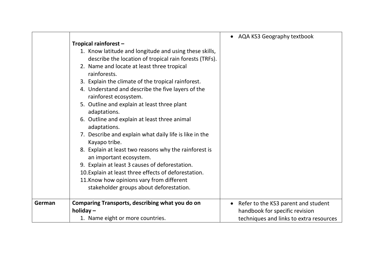|        |                                                        | • AQA KS3 Geography textbook                     |
|--------|--------------------------------------------------------|--------------------------------------------------|
|        | Tropical rainforest -                                  |                                                  |
|        | 1. Know latitude and longitude and using these skills, |                                                  |
|        | describe the location of tropical rain forests (TRFs). |                                                  |
|        | 2. Name and locate at least three tropical             |                                                  |
|        | rainforests.                                           |                                                  |
|        | 3. Explain the climate of the tropical rainforest.     |                                                  |
|        | 4. Understand and describe the five layers of the      |                                                  |
|        | rainforest ecosystem.                                  |                                                  |
|        | 5. Outline and explain at least three plant            |                                                  |
|        | adaptations.                                           |                                                  |
|        | 6. Outline and explain at least three animal           |                                                  |
|        | adaptations.                                           |                                                  |
|        | 7. Describe and explain what daily life is like in the |                                                  |
|        | Kayapo tribe.                                          |                                                  |
|        | 8. Explain at least two reasons why the rainforest is  |                                                  |
|        | an important ecosystem.                                |                                                  |
|        | 9. Explain at least 3 causes of deforestation.         |                                                  |
|        | 10. Explain at least three effects of deforestation.   |                                                  |
|        | 11. Know how opinions vary from different              |                                                  |
|        | stakeholder groups about deforestation.                |                                                  |
| German | Comparing Transports, describing what you do on        | Refer to the KS3 parent and student<br>$\bullet$ |
|        | holiday $-$                                            | handbook for specific revision                   |
|        | 1. Name eight or more countries.                       | techniques and links to extra resources          |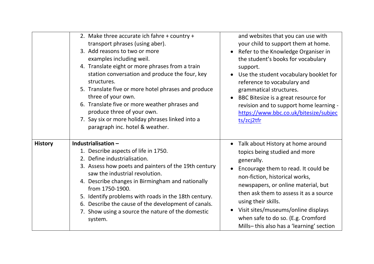|                | 2. Make three accurate ich fahre + country +<br>transport phrases (using aber).<br>3. Add reasons to two or more<br>examples including weil.<br>4. Translate eight or more phrases from a train<br>station conversation and produce the four, key<br>structures.<br>5. Translate five or more hotel phrases and produce<br>three of your own.<br>6. Translate five or more weather phrases and<br>produce three of your own.<br>7. Say six or more holiday phrases linked into a<br>paragraph inc. hotel & weather. | and websites that you can use with<br>your child to support them at home.<br>Refer to the Knowledge Organiser in<br>the student's books for vocabulary<br>support.<br>Use the student vocabulary booklet for<br>reference to vocabulary and<br>grammatical structures.<br>BBC Bitesize is a great resource for<br>revision and to support home learning -<br>https://www.bbc.co.uk/bitesize/subjec<br>ts/zcj2tfr |
|----------------|---------------------------------------------------------------------------------------------------------------------------------------------------------------------------------------------------------------------------------------------------------------------------------------------------------------------------------------------------------------------------------------------------------------------------------------------------------------------------------------------------------------------|------------------------------------------------------------------------------------------------------------------------------------------------------------------------------------------------------------------------------------------------------------------------------------------------------------------------------------------------------------------------------------------------------------------|
| <b>History</b> | Industrialisation-<br>1. Describe aspects of life in 1750.<br>2. Define industrialisation.<br>3. Assess how poets and painters of the 19th century<br>saw the industrial revolution.<br>4. Describe changes in Birmingham and nationally<br>from 1750-1900.<br>5. Identify problems with roads in the 18th century.<br>6. Describe the cause of the development of canals.<br>7. Show using a source the nature of the domestic<br>system.                                                                          | Talk about History at home around<br>topics being studied and more<br>generally.<br>Encourage them to read. It could be<br>non-fiction, historical works,<br>newspapers, or online material, but<br>then ask them to assess it as a source<br>using their skills.<br>Visit sites/museums/online displays<br>when safe to do so. (E.g. Cromford<br>Mills-this also has a 'learning' section                       |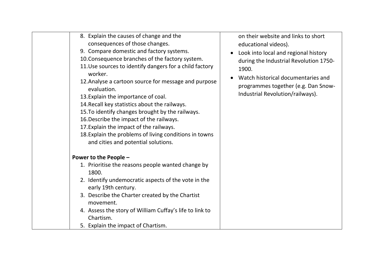| 8. Explain the causes of change and the<br>consequences of those changes.<br>9. Compare domestic and factory systems.<br>10. Consequence branches of the factory system.<br>11. Use sources to identify dangers for a child factory<br>worker.<br>12. Analyse a cartoon source for message and purpose<br>evaluation.<br>13. Explain the importance of coal.<br>14. Recall key statistics about the railways.<br>15. To identify changes brought by the railways.<br>16. Describe the impact of the railways.<br>17. Explain the impact of the railways.<br>18. Explain the problems of living conditions in towns<br>and cities and potential solutions. | on their website and links to short<br>educational videos).<br>Look into local and regional history<br>$\bullet$<br>during the Industrial Revolution 1750-<br>1900.<br>Watch historical documentaries and<br>programmes together (e.g. Dan Snow-<br>Industrial Revolution/railways). |
|-----------------------------------------------------------------------------------------------------------------------------------------------------------------------------------------------------------------------------------------------------------------------------------------------------------------------------------------------------------------------------------------------------------------------------------------------------------------------------------------------------------------------------------------------------------------------------------------------------------------------------------------------------------|--------------------------------------------------------------------------------------------------------------------------------------------------------------------------------------------------------------------------------------------------------------------------------------|
| Power to the People -<br>1. Prioritise the reasons people wanted change by<br>1800.<br>2. Identify undemocratic aspects of the vote in the<br>early 19th century.<br>3. Describe the Charter created by the Chartist<br>movement.<br>4. Assess the story of William Cuffay's life to link to<br>Chartism.<br>5. Explain the impact of Chartism.                                                                                                                                                                                                                                                                                                           |                                                                                                                                                                                                                                                                                      |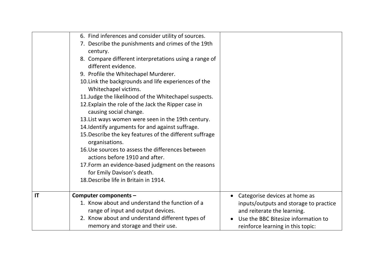|    | 6. Find inferences and consider utility of sources.                       |                                        |
|----|---------------------------------------------------------------------------|----------------------------------------|
|    | 7. Describe the punishments and crimes of the 19th                        |                                        |
|    | century.                                                                  |                                        |
|    | 8. Compare different interpretations using a range of                     |                                        |
|    | different evidence.                                                       |                                        |
|    | 9. Profile the Whitechapel Murderer.                                      |                                        |
|    | 10. Link the backgrounds and life experiences of the                      |                                        |
|    | Whitechapel victims.                                                      |                                        |
|    | 11. Judge the likelihood of the Whitechapel suspects.                     |                                        |
|    | 12. Explain the role of the Jack the Ripper case in                       |                                        |
|    | causing social change.                                                    |                                        |
|    | 13. List ways women were seen in the 19th century.                        |                                        |
|    | 14. Identify arguments for and against suffrage.                          |                                        |
|    | 15. Describe the key features of the different suffrage<br>organisations. |                                        |
|    | 16. Use sources to assess the differences between                         |                                        |
|    | actions before 1910 and after.                                            |                                        |
|    | 17. Form an evidence-based judgment on the reasons                        |                                        |
|    | for Emily Davison's death.                                                |                                        |
|    | 18. Describe life in Britain in 1914.                                     |                                        |
|    |                                                                           |                                        |
| IT | Computer components -                                                     | Categorise devices at home as          |
|    | 1. Know about and understand the function of a                            | inputs/outputs and storage to practice |
|    | range of input and output devices.                                        | and reiterate the learning.            |
|    | 2. Know about and understand different types of                           | Use the BBC Bitesize information to    |
|    | memory and storage and their use.                                         | reinforce learning in this topic:      |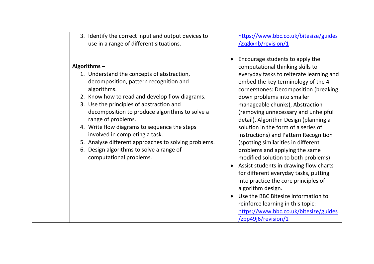|  | 3. Identify the correct input and output devices to<br>use in a range of different situations.                                                                                                                                                                                                                                                                                                                                                                                                               | https://www.bbc<br>/zxgkxnb/revisior                                                                                                                                                                                                                                                                                                                                                                                                         |
|--|--------------------------------------------------------------------------------------------------------------------------------------------------------------------------------------------------------------------------------------------------------------------------------------------------------------------------------------------------------------------------------------------------------------------------------------------------------------------------------------------------------------|----------------------------------------------------------------------------------------------------------------------------------------------------------------------------------------------------------------------------------------------------------------------------------------------------------------------------------------------------------------------------------------------------------------------------------------------|
|  | Algorithms $-$<br>1. Understand the concepts of abstraction,<br>decomposition, pattern recognition and<br>algorithms.<br>2. Know how to read and develop flow diagrams.<br>3. Use the principles of abstraction and<br>decomposition to produce algorithms to solve a<br>range of problems.<br>4. Write flow diagrams to sequence the steps<br>involved in completing a task.<br>5. Analyse different approaches to solving problems.<br>6. Design algorithms to solve a range of<br>computational problems. | Encourage stude<br>computational th<br>everyday tasks to<br>embed the key te<br>cornerstones: De<br>down problems i<br>manageable chur<br>(removing unnec<br>detail), Algorithm<br>solution in the fo<br>instructions) and<br>(spotting similari<br>problems and ap<br>modified solutior<br>Assist students in<br>for different ever<br>into practice the<br>algorithm design.<br>Use the BBC Bite:<br>reinforce learning<br>https://www.bbc |

.co.uk/bitesize/guides  $n/1$ 

- nts to apply the inking skills to o reiterate learning and erminology of the 4 composition (breaking nto smaller nks), Abstraction essary and unhelpful n Design (planning a orm of a series of Pattern Recognition ties in different plying the same n to both problems)
- drawing flow charts ryday tasks, putting core principles of algorithm design.
- size information to g in this topic: c.co.uk/bitesize/guides [/zpp49j6/revision/1](https://www.bbc.co.uk/bitesize/guides/zpp49j6/revision/1)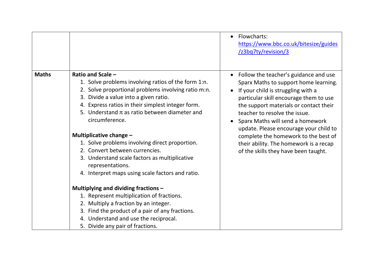|              |                                                                                                                                                                                                                                                                                                                                                                                                                                                                                                                                                                                                                                                                                                                                                                        | Flowcharts:<br>https://www.bbc.co.uk/bitesize/guides<br>/z3bq7ty/revision/3                                                                                                                                                                                                                                                                                                                                                                                    |
|--------------|------------------------------------------------------------------------------------------------------------------------------------------------------------------------------------------------------------------------------------------------------------------------------------------------------------------------------------------------------------------------------------------------------------------------------------------------------------------------------------------------------------------------------------------------------------------------------------------------------------------------------------------------------------------------------------------------------------------------------------------------------------------------|----------------------------------------------------------------------------------------------------------------------------------------------------------------------------------------------------------------------------------------------------------------------------------------------------------------------------------------------------------------------------------------------------------------------------------------------------------------|
| <b>Maths</b> | Ratio and Scale -<br>1. Solve problems involving ratios of the form 1:n.<br>2. Solve proportional problems involving ratio m:n.<br>3. Divide a value into a given ratio.<br>4. Express ratios in their simplest integer form.<br>5. Understand $\pi$ as ratio between diameter and<br>circumference.<br>Multiplicative change -<br>1. Solve problems involving direct proportion.<br>2. Convert between currencies.<br>3. Understand scale factors as multiplicative<br>representations.<br>4. Interpret maps using scale factors and ratio.<br>Multiplying and dividing fractions -<br>1. Represent multiplication of fractions.<br>2. Multiply a fraction by an integer.<br>3. Find the product of a pair of any fractions.<br>4. Understand and use the reciprocal. | Follow the teacher's guidance and use<br>$\bullet$<br>Sparx Maths to support home learning.<br>If your child is struggling with a<br>particular skill encourage them to use<br>the support materials or contact their<br>teacher to resolve the issue.<br>Sparx Maths will send a homework<br>update. Please encourage your child to<br>complete the homework to the best of<br>their ability. The homework is a recap<br>of the skills they have been taught. |
|              | 5. Divide any pair of fractions.                                                                                                                                                                                                                                                                                                                                                                                                                                                                                                                                                                                                                                                                                                                                       |                                                                                                                                                                                                                                                                                                                                                                                                                                                                |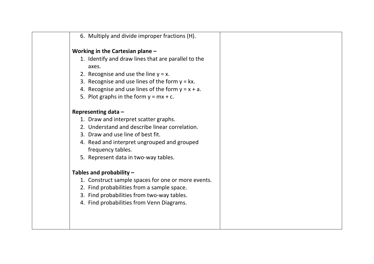| 6. Multiply and divide improper fractions (H).       |
|------------------------------------------------------|
| Working in the Cartesian plane -                     |
| 1. Identify and draw lines that are parallel to the  |
| axes.                                                |
| 2. Recognise and use the line $y = x$ .              |
| 3. Recognise and use lines of the form $y = kx$ .    |
| 4. Recognise and use lines of the form $y = x + a$ . |
| 5. Plot graphs in the form $y = mx + c$ .            |
| Representing data -                                  |
| 1. Draw and interpret scatter graphs.                |
| 2. Understand and describe linear correlation.       |
| 3. Draw and use line of best fit.                    |
| 4. Read and interpret ungrouped and grouped          |
| frequency tables.                                    |
| 5. Represent data in two-way tables.                 |
| Tables and probability $-$                           |
| 1. Construct sample spaces for one or more events.   |
| 2. Find probabilities from a sample space.           |
| 3. Find probabilities from two-way tables.           |
| 4. Find probabilities from Venn Diagrams.            |
|                                                      |
|                                                      |
|                                                      |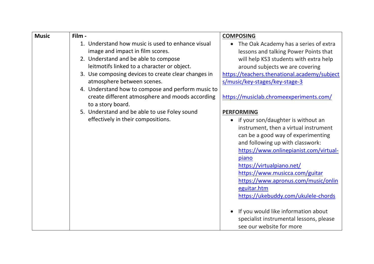| <b>Music</b> | Film -                                                                                | <b>COMPOSING</b>                                                               |
|--------------|---------------------------------------------------------------------------------------|--------------------------------------------------------------------------------|
|              | 1. Understand how music is used to enhance visual<br>image and impact in film scores. | The Oak Academy has a series of extra<br>lessons and talking Power Points that |
|              | 2. Understand and be able to compose                                                  | will help KS3 students with extra help                                         |
|              | leitmotifs linked to a character or object.                                           | around subjects we are covering                                                |
|              | 3. Use composing devices to create clear changes in                                   | https://teachers.thenational.academy/subject                                   |
|              | atmosphere between scenes.                                                            | s/music/key-stages/key-stage-3                                                 |
|              | 4. Understand how to compose and perform music to                                     |                                                                                |
|              | create different atmosphere and moods according<br>to a story board.                  | https://musiclab.chromeexperiments.com/                                        |
|              | 5. Understand and be able to use Foley sound                                          | <b>PERFORMING</b>                                                              |
|              | effectively in their compositions.                                                    | • if your son/daughter is without an                                           |
|              |                                                                                       | instrument, then a virtual instrument                                          |
|              |                                                                                       | can be a good way of experimenting                                             |
|              |                                                                                       | and following up with classwork:                                               |
|              |                                                                                       | https://www.onlinepianist.com/virtual-                                         |
|              |                                                                                       | piano                                                                          |
|              |                                                                                       | https://virtualpiano.net/                                                      |
|              |                                                                                       | https://www.musicca.com/guitar                                                 |
|              |                                                                                       | https://www.apronus.com/music/onlin                                            |
|              |                                                                                       | eguitar.htm                                                                    |
|              |                                                                                       | https://ukebuddy.com/ukulele-chords                                            |
|              |                                                                                       | If you would like information about<br>specialist instrumental lessons, please |
|              |                                                                                       | see our website for more                                                       |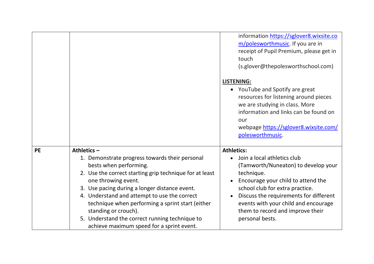|           |                                                                                                                                                                                                                                                                                                                                                                                                                                                         | information https://sglover8.wixsite.co<br>m/polesworthmusic. If you are in<br>receipt of Pupil Premium, please get in<br>touch<br>(s.glover@thepolesworthschool.com)<br><b>LISTENING:</b><br>• YouTube and Spotify are great<br>resources for listening around pieces<br>we are studying in class. More<br>information and links can be found on<br>our<br>webpage https://sglover8.wixsite.com/<br>polesworthmusic. |
|-----------|---------------------------------------------------------------------------------------------------------------------------------------------------------------------------------------------------------------------------------------------------------------------------------------------------------------------------------------------------------------------------------------------------------------------------------------------------------|-----------------------------------------------------------------------------------------------------------------------------------------------------------------------------------------------------------------------------------------------------------------------------------------------------------------------------------------------------------------------------------------------------------------------|
| <b>PE</b> | Athletics $-$<br>1. Demonstrate progress towards their personal<br>bests when performing.<br>2. Use the correct starting grip technique for at least<br>one throwing event.<br>3. Use pacing during a longer distance event.<br>4. Understand and attempt to use the correct<br>technique when performing a sprint start (either<br>standing or crouch).<br>5. Understand the correct running technique to<br>achieve maximum speed for a sprint event. | <b>Athletics:</b><br>Join a local athletics club<br>(Tamworth/Nuneaton) to develop your<br>technique.<br>Encourage your child to attend the<br>school club for extra practice.<br>Discuss the requirements for different<br>events with your child and encourage<br>them to record and improve their<br>personal bests.                                                                                               |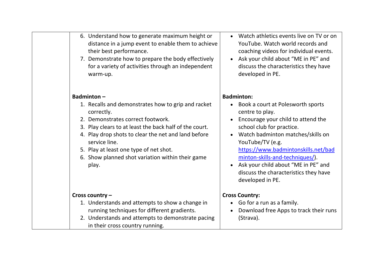| 6. Understand how to generate maximum height or    |
|----------------------------------------------------|
| distance in a jump event to enable them to achieve |
| their best performance.                            |

7. Demonstrate how to prepare the body effectively for a variety of activities through an independent warm-up.

# **Badminton –**

- 1. Recalls and demonstrates how to grip and racket correctly.
- 2. Demonstrates correct footwork.
- 3. Play clears to at least the back half of the court.
- 4. Play drop shots to clear the net and land before service line.
- 5. Play at least one type of net shot.
- 6. Show planned shot variation within their game play.

### **Cross country –**

- 1. Understands and attempts to show a change in running techniques for different gradients.
- 2. Understands and attempts to demonstrate pacing in their cross country running.
- Watch athletics events live on TV or on YouTube. Watch world records and coaching videos for individual events.
- Ask your child about "ME in PE" and discuss the characteristics they have developed in PE.

#### **Badminton:**

- Book a court at Polesworth sports centre to play.
- Encourage your child to attend the school club for practice.
- Watch badminton matches/skills on YouTube/TV (e.g.

[https://www.badmintonskills.net/bad](https://www.badmintonskills.net/badminton-skills-and-techniques/) [minton-skills-and-techniques/\)](https://www.badmintonskills.net/badminton-skills-and-techniques/).

• Ask your child about "ME in PE" and discuss the characteristics they have developed in PE.

# **Cross Country:**

- Go for a run as a family.
- Download free Apps to track their runs (Strava).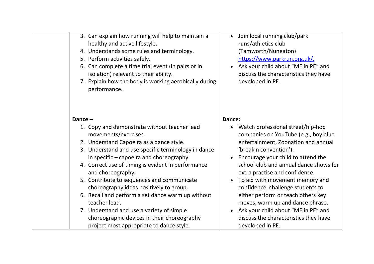| 3. Can explain how running will help to maintain a<br>healthy and active lifestyle.<br>4. Understands some rules and terminology.<br>5. Perform activities safely.<br>6. Can complete a time trial event (in pairs or in<br>isolation) relevant to their ability.<br>7. Explain how the body is working aerobically during<br>performance.                                                                                                                                                                           | Join local running club/park<br>$\bullet$<br>runs/athletics club<br>(Tamworth/Nuneaton)<br>https://www.parkrun.org.uk/.<br>Ask your child about "ME in PE" and<br>discuss the characteristics they have<br>developed in PE.                                                                                                                                                                                                                                                                              |
|----------------------------------------------------------------------------------------------------------------------------------------------------------------------------------------------------------------------------------------------------------------------------------------------------------------------------------------------------------------------------------------------------------------------------------------------------------------------------------------------------------------------|----------------------------------------------------------------------------------------------------------------------------------------------------------------------------------------------------------------------------------------------------------------------------------------------------------------------------------------------------------------------------------------------------------------------------------------------------------------------------------------------------------|
| Dance-<br>1. Copy and demonstrate without teacher lead<br>movements/exercises.<br>2. Understand Capoeira as a dance style.<br>3. Understand and use specific terminology in dance<br>in specific - capoeira and choreography.<br>4. Correct use of timing is evident in performance<br>and choreography.<br>5. Contribute to sequences and communicate<br>choreography ideas positively to group.<br>6. Recall and perform a set dance warm up without<br>teacher lead.<br>7. Understand and use a variety of simple | Dance:<br>• Watch professional street/hip-hop<br>companies on YouTube (e.g., boy blue<br>entertainment, Zoonation and annual<br>'breakin convention').<br>Encourage your child to attend the<br>$\bullet$<br>school club and annual dance shows for<br>extra practise and confidence.<br>To aid with movement memory and<br>$\bullet$<br>confidence, challenge students to<br>either perform or teach others key<br>moves, warm up and dance phrase.<br>Ask your child about "ME in PE" and<br>$\bullet$ |
| choreographic devices in their choreography<br>project most appropriate to dance style.                                                                                                                                                                                                                                                                                                                                                                                                                              | discuss the characteristics they have<br>developed in PE.                                                                                                                                                                                                                                                                                                                                                                                                                                                |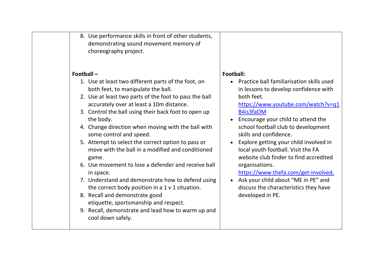| 8. Use performance skills in front of other students, |
|-------------------------------------------------------|
| demonstrating sound movement memory of                |
| choreography project.                                 |

# **Football –**

- 1. Use at least two different parts of the foot, on both feet, to manipulate the ball.
- 2. Use at least two parts of the foot to pass the ball accurately over at least a 10m distance.
- 3. Control the ball using their back foot to open up the body.
- 4. Change direction when moving with the ball with some control and speed.
- 5. Attempt to select the correct option to pass or move with the ball in a modified and conditioned game.
- 6. Use movement to lose a defender and receive ball in space.
- 7. Understand and demonstrate how to defend using the correct body position in a 1 v 1 situation.
- 8. Recall and demonstrate good etiquette, sportsmanship and respect.
- 9. Recall, demonstrate and lead how to warm up and cool down safely.

# **Football:**

• Practice ball familiarisation skills used in lessons to develop confidence with both feet.

[https://www.youtube.com/watch?v=q1](https://www.youtube.com/watch?v=q1B4is3faOM) [B4is3faOM](https://www.youtube.com/watch?v=q1B4is3faOM)

- Encourage your child to attend the school football club to development skills and confidence.
- Explore getting your child involved in local youth football. Visit the FA website club finder to find accredited organisations.

[https://www.thefa.com/get-involved.](https://www.thefa.com/get-involved)

• Ask your child about "ME in PE" and discuss the characteristics they have developed in PE.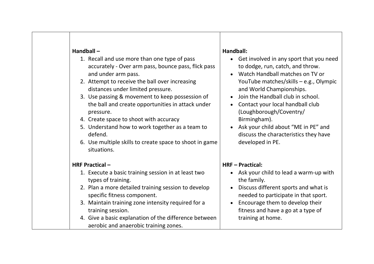#### **Handball –**

- 1. Recall and use more than one type of pass accurately - Over arm pass, bounce pass, flick pass and under arm pass.
- 2. Attempt to receive the ball over increasing distances under limited pressure.
- 3. Use passing & movement to keep possession of the ball and create opportunities in attack under pressure.
- 4. Create space to shoot with accuracy
- 5. Understand how to work together as a team to defend.
- 6. Use multiple skills to create space to shoot in game situations.

#### **HRF Practical –**

- 1. Execute a basic training session in at least two types of training.
- 2. Plan a more detailed training session to develop specific fitness component.
- 3. Maintain training zone intensity required for a training session.
- 4. Give a basic explanation of the difference between aerobic and anaerobic training zones.

### **Handball:**

- Get involved in any sport that you need to dodge, run, catch, and throw.
- Watch Handball matches on TV or YouTube matches/skills – e.g., Olympic and World Championships.
- Join the Handball club in school.
- Contact your local handball club (Loughborough/Coventry/ Birmingham).
- Ask your child about "ME in PE" and discuss the characteristics they have developed in PE.

# **HRF – Practical:**

- Ask your child to lead a warm-up with the family.
- Discuss different sports and what is needed to participate in that sport.
- Encourage them to develop their fitness and have a go at a type of training at home.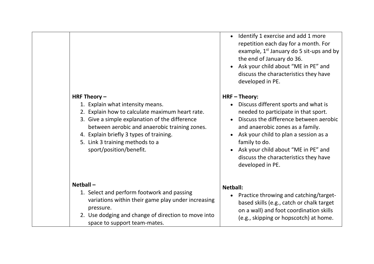### **HRF Theory –**

- 1. Explain what intensity means.
- 2. Explain how to calculate maximum heart rate.
- 3. Give a simple explanation of the difference between aerobic and anaerobic training zones.
- 4. Explain briefly 3 types of training.
- 5. Link 3 training methods to a sport/position/benefit.

# **Netball –**

- 1. Select and perform footwork and passing variations within their game play under increasing pressure.
- 2. Use dodging and change of direction to move into space to support team-mates.
- Identify 1 exercise and add 1 more repetition each day for a month. For example,  $1<sup>st</sup>$  January do 5 sit-ups and by the end of January do 36.
- Ask your child about "ME in PE" and discuss the characteristics they have developed in PE.

# **HRF – Theory:**

- Discuss different sports and what is needed to participate in that sport.
- Discuss the difference between aerobic and anaerobic zones as a family.
- Ask your child to plan a session as a family to do.
- Ask your child about "ME in PE" and discuss the characteristics they have developed in PE.

### **Netball:**

• Practice throwing and catching/targetbased skills (e.g., catch or chalk target on a wall) and foot coordination skills (e.g., skipping or hopscotch) at home.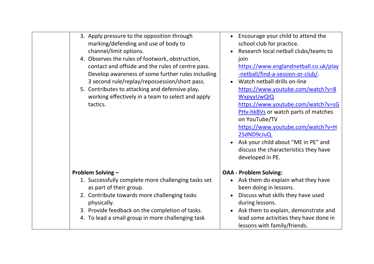| 3. Apply pressure to the opposition through<br>marking/defending and use of body to<br>channel/limit options.<br>4. Observes the rules of footwork, obstruction,<br>contact and offside and the rules of centre pass.<br>Develop awareness of some further rules including<br>3 second rule/replay/repossession/short pass.<br>5. Contributes to attacking and defensive play,<br>working effectively in a team to select and apply<br>tactics. | Encourage your child to attend the<br>school club for practice.<br>Research local netball clubs/teams to<br>join<br>https://www.englandnetball.co.uk/play<br>-netball/find-a-session-or-club/<br>Watch netball drills on-line<br>https://www.youtube.com/watch?v=8<br>WxpyyUwQIQ<br>https://www.youtube.com/watch?v=sG<br><b>PHv-hkBVs</b> or watch parts of matches<br>on YouTube/TV<br>https://www.youtube.com/watch?v=H<br>25dND9cJuQ.<br>• Ask your child about "ME in PE" and<br>discuss the characteristics they have<br>developed in PE. |
|-------------------------------------------------------------------------------------------------------------------------------------------------------------------------------------------------------------------------------------------------------------------------------------------------------------------------------------------------------------------------------------------------------------------------------------------------|-------------------------------------------------------------------------------------------------------------------------------------------------------------------------------------------------------------------------------------------------------------------------------------------------------------------------------------------------------------------------------------------------------------------------------------------------------------------------------------------------------------------------------------------------|
| <b>Problem Solving -</b><br>1. Successfully complete more challenging tasks set<br>as part of their group.<br>2. Contribute towards more challenging tasks<br>physically.<br>3. Provide feedback on the completion of tasks.<br>4. To lead a small group in more challenging task                                                                                                                                                               | <b>OAA - Problem Solving:</b><br>Ask them do explain what they have<br>$\bullet$<br>been doing in lessons.<br>Discuss what skills they have used<br>during lessons.<br>Ask them to explain, demonstrate and<br>$\bullet$<br>lead some activities they have done in<br>lessons with family/friends.                                                                                                                                                                                                                                              |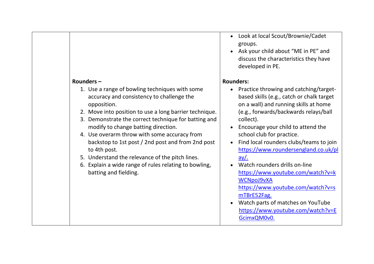### **Rounders –**

- 1. Use a range of bowling techniques with some accuracy and consistency to challenge the opposition.
- 2. Move into position to use a long barrier technique.
- 3. Demonstrate the correct technique for batting and modify to change batting direction.
- 4. Use overarm throw with some accuracy from backstop to 1st post / 2nd post and from 2nd post to 4th post.
- 5. Understand the relevance of the pitch lines.
- 6. Explain a wide range of rules relating to bowling, batting and fielding.
- Look at local Scout/Brownie/Cadet groups.
- Ask your child about "ME in PE" and discuss the characteristics they have developed in PE.

# **Rounders:**

- Practice throwing and catching/targetbased skills (e.g., catch or chalk target on a wall) and running skills at home (e.g., forwards/backwards relays/ball collect).
- Encourage your child to attend the school club for practice.
- Find local rounders clubs/teams to join [https://www.roundersengland.co.uk/pl](https://www.roundersengland.co.uk/play/) [ay/.](https://www.roundersengland.co.uk/play/)
- Watch rounders drills on-line [https://www.youtube.com/watch?v=k](https://www.youtube.com/watch?v=kWCNpoJ9vXA) [WCNpoJ9vXA](https://www.youtube.com/watch?v=kWCNpoJ9vXA) [https://www.youtube.com/watch?v=s](https://www.youtube.com/watch?v=smTBrE52Fag) [mTBrE52Fag.](https://www.youtube.com/watch?v=smTBrE52Fag)
- Watch parts of matches on YouTube [https://www.youtube.com/watch?v=E](https://www.youtube.com/watch?v=EGcimxQM0v0) [GcimxQM0v0.](https://www.youtube.com/watch?v=EGcimxQM0v0)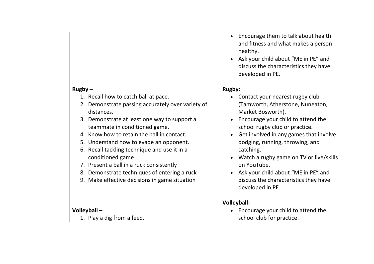# **Rugby –**

- 1. Recall how to catch ball at pace.
- 2. Demonstrate passing accurately over variety of distances.
- 3. Demonstrate at least one way to support a teammate in conditioned game.
- 4. Know how to retain the ball in contact.
- 5. Understand how to evade an opponent.
- 6. Recall tackling technique and use it in a conditioned game
- 7. Present a ball in a ruck consistently
- 8. Demonstrate techniques of entering a ruck
- 9. Make effective decisions in game situation
- Encourage them to talk about health and fitness and what makes a person healthy.
- Ask your child about "ME in PE" and discuss the characteristics they have developed in PE.

### **Rugby:**

- Contact your nearest rugby club (Tamworth, Atherstone, Nuneaton, Market Bosworth).
- Encourage your child to attend the school rugby club or practice.
- Get involved in any games that involve dodging, running, throwing, and catching.
- Watch a rugby game on TV or live/skills on YouTube.
- Ask your child about "ME in PE" and discuss the characteristics they have developed in PE.

# **Volleyball:**

• Encourage your child to attend the school club for practice.

**Volleyball –**

1. Play a dig from a feed.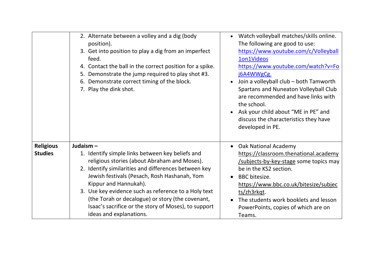|                                    | 2. Alternate between a volley and a dig (body<br>position).<br>3. Get into position to play a dig from an imperfect<br>feed.<br>4. Contact the ball in the correct position for a spike.<br>5. Demonstrate the jump required to play shot #3.<br>6. Demonstrate correct timing of the block.<br>7. Play the dink shot.                                                                                                                       | Watch volleyball matches/skills online.<br>The following are good to use:<br>https://www.youtube.com/c/Volleyball<br>1on1Videos<br>https://www.youtube.com/watch?v=Fo<br>j6A4WWgCg.<br>Join a volleyball club - both Tamworth<br>Spartans and Nuneaton Volleyball Club<br>are recommended and have links with<br>the school.<br>Ask your child about "ME in PE" and |
|------------------------------------|----------------------------------------------------------------------------------------------------------------------------------------------------------------------------------------------------------------------------------------------------------------------------------------------------------------------------------------------------------------------------------------------------------------------------------------------|---------------------------------------------------------------------------------------------------------------------------------------------------------------------------------------------------------------------------------------------------------------------------------------------------------------------------------------------------------------------|
|                                    |                                                                                                                                                                                                                                                                                                                                                                                                                                              | discuss the characteristics they have<br>developed in PE.                                                                                                                                                                                                                                                                                                           |
| <b>Religious</b><br><b>Studies</b> | Judaism-<br>1. Identify simple links between key beliefs and<br>religious stories (about Abraham and Moses).<br>2. Identify similarities and differences between key<br>Jewish festivals (Pesach, Rosh Hashanah, Yom<br>Kippur and Hannukah).<br>3. Use key evidence such as reference to a Holy text<br>(the Torah or decalogue) or story (the covenant,<br>Isaac's sacrifice or the story of Moses), to support<br>ideas and explanations. | • Oak National Academy<br>https://classroom.thenational.academy<br>/subjects-by-key-stage some topics may<br>be in the KS2 section.<br><b>BBC</b> bitesize.<br>https://www.bbc.co.uk/bitesize/subjec<br>ts/zh3rkqt.<br>The students work booklets and lesson<br>PowerPoints, copies of which are on<br>Teams.                                                       |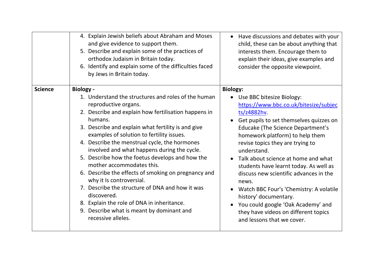|                | 4. Explain Jewish beliefs about Abraham and Moses<br>and give evidence to support them.<br>5. Describe and explain some of the practices of<br>orthodox Judaism in Britain today.<br>6. Identify and explain some of the difficulties faced<br>by Jews in Britain today.                                                                                                                                                                                                                                                                                                                                                                                                                                                    | Have discussions and debates with your<br>child, these can be about anything that<br>interests them. Encourage them to<br>explain their ideas, give examples and<br>consider the opposite viewpoint.                                                                                                                                                                                                                                                                                                                                                                                                  |
|----------------|-----------------------------------------------------------------------------------------------------------------------------------------------------------------------------------------------------------------------------------------------------------------------------------------------------------------------------------------------------------------------------------------------------------------------------------------------------------------------------------------------------------------------------------------------------------------------------------------------------------------------------------------------------------------------------------------------------------------------------|-------------------------------------------------------------------------------------------------------------------------------------------------------------------------------------------------------------------------------------------------------------------------------------------------------------------------------------------------------------------------------------------------------------------------------------------------------------------------------------------------------------------------------------------------------------------------------------------------------|
| <b>Science</b> | <b>Biology -</b><br>1. Understand the structures and roles of the human<br>reproductive organs.<br>2. Describe and explain how fertilisation happens in<br>humans.<br>3. Describe and explain what fertility is and give<br>examples of solution to fertility issues.<br>4. Describe the menstrual cycle, the hormones<br>involved and what happens during the cycle.<br>5. Describe how the foetus develops and how the<br>mother accommodates this.<br>6. Describe the effects of smoking on pregnancy and<br>why it Is controversial.<br>7. Describe the structure of DNA and how it was<br>discovered.<br>8. Explain the role of DNA in inheritance.<br>9. Describe what is meant by dominant and<br>recessive alleles. | <b>Biology:</b><br>Use BBC bitesize Biology:<br>https://www.bbc.co.uk/bitesize/subjec<br>ts/z4882hv.<br>Get pupils to set themselves quizzes on<br><b>Educake (The Science Department's</b><br>homework platform) to help them<br>revise topics they are trying to<br>understand.<br>Talk about science at home and what<br>students have learnt today. As well as<br>discuss new scientific advances in the<br>news.<br>Watch BBC Four's 'Chemistry: A volatile<br>history' documentary.<br>You could google 'Oak Academy' and<br>they have videos on different topics<br>and lessons that we cover. |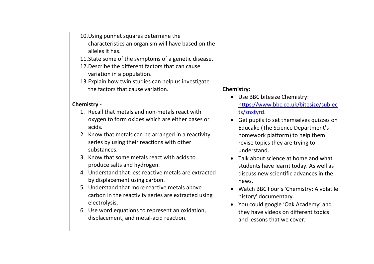| 10. Using punnet squares determine the             |
|----------------------------------------------------|
| characteristics an organism will have based on the |
| alleles it has.                                    |

- 11.State some of the symptoms of a genetic disease.
- 12.Describe the different factors that can cause variation in a population.
- 13.Explain how twin studies can help us investigate the factors that cause variation.

### **Chemistry -**

- 1. Recall that metals and non-metals react with oxygen to form oxides which are either bases or acids.
- 2. Know that metals can be arranged in a reactivity series by using their reactions with other substances.
- 3. Know that some metals react with acids to produce salts and hydrogen.
- 4. Understand that less reactive metals are extracted by displacement using carbon.
- 5. Understand that more reactive metals above carbon in the reactivity series are extracted using electrolysis.
- 6. Use word equations to represent an oxidation, displacement, and metal-acid reaction.

# **Chemistry:**

- Use BBC bitesize Chemistry: [https://www.bbc.co.uk/bitesize/subjec](https://www.bbc.co.uk/bitesize/subjects/znxtyrd) [ts/znxtyrd.](https://www.bbc.co.uk/bitesize/subjects/znxtyrd)
- Get pupils to set themselves quizzes on Educake (The Science Department's homework platform) to help them revise topics they are trying to understand.
- Talk about science at home and what students have learnt today. As well as discuss new scientific advances in the news.
- Watch BBC Four's 'Chemistry: A volatile history' documentary.
- You could google 'Oak Academy' and they have videos on different topics and lessons that we cover.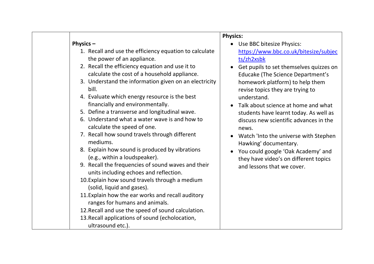#### **Physics –**

- 1. Recall and use the efficiency equation to calculate the power of an appliance.
- 2. Recall the efficiency equation and use it to calculate the cost of a household appliance.
- 3. Understand the information given on an electricity bill.
- 4. Evaluate which energy resource is the best financially and environmentally.
- 5. Define a transverse and longitudinal wave.
- 6. Understand what a water wave is and how to calculate the speed of one.
- 7. Recall how sound travels through different mediums.
- 8. Explain how sound is produced by vibrations (e.g., within a loudspeaker).
- 9. Recall the frequencies of sound waves and their units including echoes and reflection.
- 10.Explain how sound travels through a medium (solid, liquid and gases).
- 11.Explain how the ear works and recall auditory ranges for humans and animals.
- 12.Recall and use the speed of sound calculation.
- 13.Recall applications of sound (echolocation,
	- ultrasound etc.).

# **Physics:**

- Use BBC bitesize Physics: [https://www.bbc.co.uk/bitesize/subjec](https://www.bbc.co.uk/bitesize/subjects/zh2xsbk) [ts/zh2xsbk](https://www.bbc.co.uk/bitesize/subjects/zh2xsbk)
- Get pupils to set themselves quizzes on Educake (The Science Department's homework platform) to help them revise topics they are trying to understand.
- Talk about science at home and what students have learnt today. As well as discuss new scientific advances in the news.
- Watch 'Into the universe with Stephen Hawking' documentary.
- You could google 'Oak Academy' and they have video's on different topics and lessons that we cover.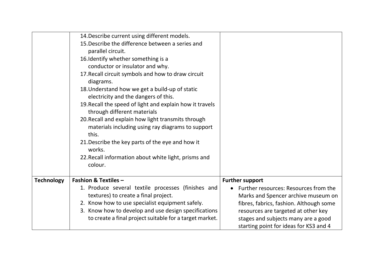|                   | 14. Describe current using different models.             |                                         |
|-------------------|----------------------------------------------------------|-----------------------------------------|
|                   | 15. Describe the difference between a series and         |                                         |
|                   | parallel circuit.                                        |                                         |
|                   | 16. Identify whether something is a                      |                                         |
|                   | conductor or insulator and why.                          |                                         |
|                   | 17. Recall circuit symbols and how to draw circuit       |                                         |
|                   | diagrams.                                                |                                         |
|                   | 18. Understand how we get a build-up of static           |                                         |
|                   | electricity and the dangers of this.                     |                                         |
|                   | 19. Recall the speed of light and explain how it travels |                                         |
|                   | through different materials                              |                                         |
|                   | 20. Recall and explain how light transmits through       |                                         |
|                   | materials including using ray diagrams to support        |                                         |
|                   | this.                                                    |                                         |
|                   | 21. Describe the key parts of the eye and how it         |                                         |
|                   | works.                                                   |                                         |
|                   | 22. Recall information about white light, prisms and     |                                         |
|                   | colour.                                                  |                                         |
|                   |                                                          |                                         |
| <b>Technology</b> | <b>Fashion &amp; Textiles -</b>                          | <b>Further support</b>                  |
|                   | 1. Produce several textile processes (finishes and       | Further resources: Resources from the   |
|                   | textures) to create a final project.                     | Marks and Spencer archive museum on     |
|                   | 2. Know how to use specialist equipment safely.          | fibres, fabrics, fashion. Although some |
|                   | 3. Know how to develop and use design specifications     | resources are targeted at other key     |
|                   | to create a final project suitable for a target market.  | stages and subjects many are a good     |
|                   |                                                          | starting point for ideas for KS3 and 4  |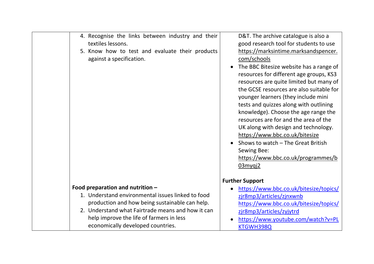| 4. Recognise the links between industry and their<br>textiles lessons.<br>5. Know how to test and evaluate their products<br>against a specification.                                                                                                                         | D&T. The archive catalogue is also a<br>good research tool for students to use<br>https://marksintime.marksandspencer.<br>com/schools<br>The BBC Bitesize website has a range of<br>resources for different age groups, KS3<br>resources are quite limited but many of<br>the GCSE resources are also suitable for<br>younger learners (they include mini<br>tests and quizzes along with outlining<br>knowledge). Choose the age range the<br>resources are for and the area of the<br>UK along with design and technology.<br>https://www.bbc.co.uk/bitesize<br>Shows to watch - The Great British<br>Sewing Bee:<br>https://www.bbc.co.uk/programmes/b<br>$03$ myqj $2$ |
|-------------------------------------------------------------------------------------------------------------------------------------------------------------------------------------------------------------------------------------------------------------------------------|----------------------------------------------------------------------------------------------------------------------------------------------------------------------------------------------------------------------------------------------------------------------------------------------------------------------------------------------------------------------------------------------------------------------------------------------------------------------------------------------------------------------------------------------------------------------------------------------------------------------------------------------------------------------------|
| Food preparation and nutrition -<br>1. Understand environmental issues linked to food<br>production and how being sustainable can help.<br>2. Understand what Fairtrade means and how it can<br>help improve the life of farmers in less<br>economically developed countries. | <b>Further Support</b><br>https://www.bbc.co.uk/bitesize/topics/<br>zjr8mp3/articles/zjnxwnb<br>https://www.bbc.co.uk/bitesize/topics/<br>zir8mp3/articles/zyjytrd<br>https://www.youtube.com/watch?v=PL<br>KTGWH398Q                                                                                                                                                                                                                                                                                                                                                                                                                                                      |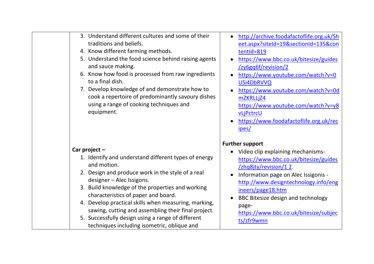| 3. Understand different cultures and some of their<br>traditions and beliefs.<br>4. Know different farming methods.<br>5. Understand the food science behind raising agents<br>and sauce making.<br>6. Know how food is processed from raw ingredients<br>to a final dish.<br>7. Develop knowledge of and demonstrate how to<br>cook a repertoire of predominantly savoury dishes<br>using a range of cooking techniques and<br>equipment.                                             | http://archive.foodafactoflife.org.uk/Sh<br>eet.aspx?siteId=19&sectionId=135&con<br>tentId=819<br>https://www.bbc.co.uk/bitesize/guides<br>$\bullet$<br>/zy6gq6f/revision/2<br>https://www.youtube.com/watch?v=0<br>$\bullet$<br>USi4DbRVVQ<br>https://www.youtube.com/watch?v=0d<br>mZKRLLjZ4<br>https://www.youtube.com/watch?v=y8<br>vLjPctrcU<br>https://www.foodafactoflife.org.uk/rec<br>ipes/ |
|----------------------------------------------------------------------------------------------------------------------------------------------------------------------------------------------------------------------------------------------------------------------------------------------------------------------------------------------------------------------------------------------------------------------------------------------------------------------------------------|------------------------------------------------------------------------------------------------------------------------------------------------------------------------------------------------------------------------------------------------------------------------------------------------------------------------------------------------------------------------------------------------------|
| Car project $-$<br>1. Identify and understand different types of energy<br>and motion.<br>2. Design and produce work in the style of a real<br>designer - Alec Issigons.<br>3. Build knowledge of the properties and working<br>characteristics of paper and board.<br>4. Develop practical skills when measuring, marking,<br>sawing, cutting and assembling their final project.<br>5. Successfully design using a range of different<br>techniques including isometric, oblique and | <b>Further support</b><br>Video clip explaining mechanisms-<br>https://www.bbc.co.uk/bitesize/guides<br>/zhq8jty/revision/12.<br>Information page on Alec Issigonis -<br>http://www.designtechnology.info/eng<br>ineers/page18.htm<br>BBC Bitesize design and technology<br>$\bullet$<br>page-<br>https://www.bbc.co.uk/bitesize/subjec<br>ts/zfr9wmn                                                |